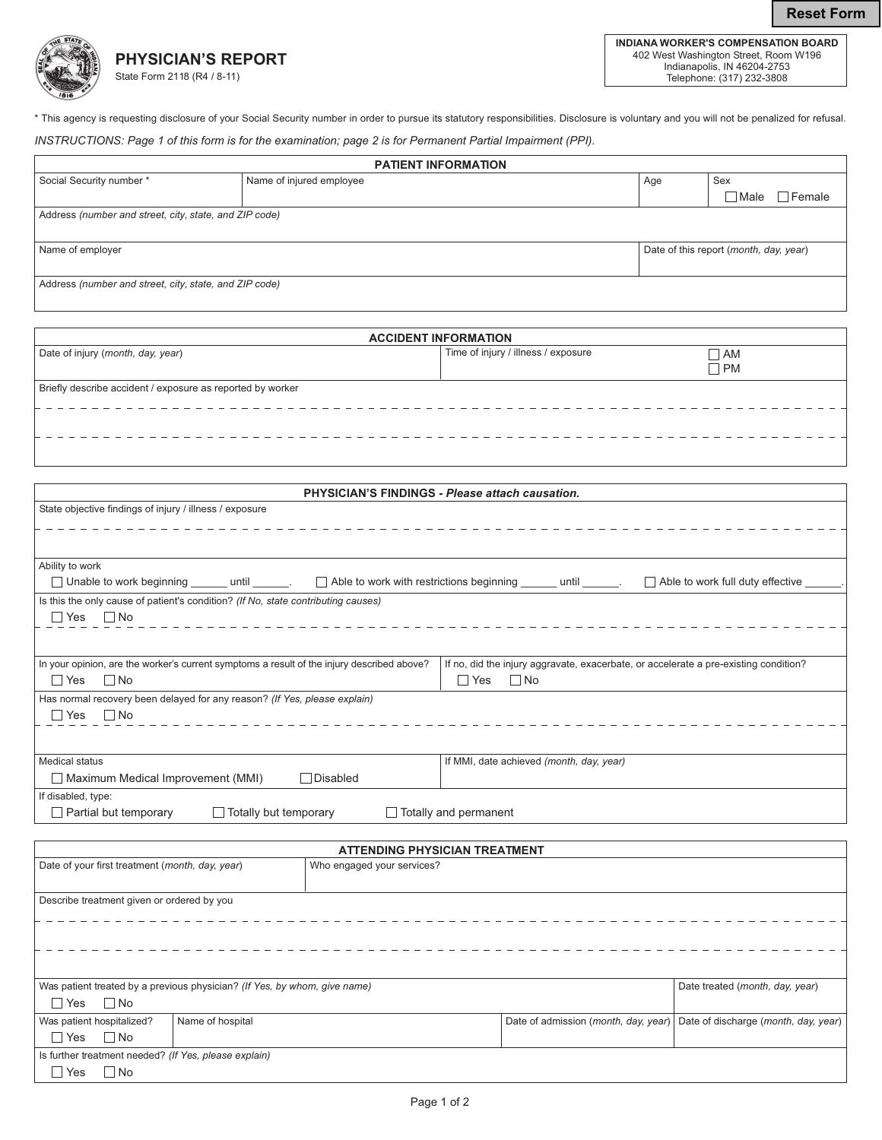**Reset Form** 



\* This agency is requesting disclosure of your Social Security number in order to pursue its statutory responsibilities. Disclosure is voluntary and you will not be penalized for refusal.

INSTRUCTIONS: Page 1 of this form is for the examination; page 2 is for Permanent Partial Impairment (PPI).

| <b>PATIENT INFORMATION</b>                             |                          |     |                                        |               |
|--------------------------------------------------------|--------------------------|-----|----------------------------------------|---------------|
| Social Security number *                               | Name of injured employee | Age | Sex                                    |               |
|                                                        |                          |     | $\sqcap$ Male                          | $\Box$ Female |
| Address (number and street, city, state, and ZIP code) |                          |     |                                        |               |
|                                                        |                          |     |                                        |               |
| Name of employer                                       |                          |     | Date of this report (month, day, year) |               |
|                                                        |                          |     |                                        |               |
| Address (number and street, city, state, and ZIP code) |                          |     |                                        |               |
|                                                        |                          |     |                                        |               |

|                                                            | <b>ACCIDENT INFORMATION</b>         |           |
|------------------------------------------------------------|-------------------------------------|-----------|
| Date of injury (month, day, year)                          | Time of injury / illness / exposure | $\Box$ AM |
|                                                            |                                     | $\Box$ PM |
| Briefly describe accident / exposure as reported by worker |                                     |           |
|                                                            |                                     |           |
|                                                            |                                     |           |
|                                                            |                                     |           |
|                                                            |                                     |           |

| <b>PHYSICIAN'S FINDINGS - Please attach causation.</b>                                                                                                |                                                                                      |
|-------------------------------------------------------------------------------------------------------------------------------------------------------|--------------------------------------------------------------------------------------|
| State objective findings of injury / illness / exposure                                                                                               |                                                                                      |
|                                                                                                                                                       |                                                                                      |
|                                                                                                                                                       |                                                                                      |
|                                                                                                                                                       |                                                                                      |
| Ability to work                                                                                                                                       |                                                                                      |
| □ Unable to work beginning ______ until ______. □ Able to work with restrictions beginning _____ until _____. □ Able to work full duty effective ____ |                                                                                      |
| Is this the only cause of patient's condition? (If No, state contributing causes)                                                                     |                                                                                      |
| $\Box$ Yes $\Box$ No                                                                                                                                  |                                                                                      |
|                                                                                                                                                       |                                                                                      |
|                                                                                                                                                       |                                                                                      |
| In your opinion, are the worker's current symptoms a result of the injury described above?                                                            | If no, did the injury aggravate, exacerbate, or accelerate a pre-existing condition? |
| No No                                                                                                                                                 | Yes No                                                                               |
| Has normal recovery been delayed for any reason? (If Yes, please explain)                                                                             |                                                                                      |
| $\Box$ Yes $\Box$ No                                                                                                                                  |                                                                                      |
|                                                                                                                                                       |                                                                                      |
|                                                                                                                                                       |                                                                                      |
| <b>Medical status</b>                                                                                                                                 | If MMI, date achieved (month, day, year)                                             |
| Disabled<br>Maximum Medical Improvement (MMI)                                                                                                         |                                                                                      |
| If disabled, type:                                                                                                                                    |                                                                                      |
| $\Box$ Totally but temporary<br>$\Box$ Partial but temporary                                                                                          | Totally and permanent                                                                |

|                                                                           |                  | <b>ATTENDING PHYSICIAN TREATMENT</b> |                                      |                                      |
|---------------------------------------------------------------------------|------------------|--------------------------------------|--------------------------------------|--------------------------------------|
| Date of your first treatment (month, day, year)                           |                  | Who engaged your services?           |                                      |                                      |
|                                                                           |                  |                                      |                                      |                                      |
| Describe treatment given or ordered by you                                |                  |                                      |                                      |                                      |
|                                                                           |                  |                                      |                                      |                                      |
|                                                                           |                  |                                      |                                      |                                      |
|                                                                           |                  |                                      |                                      |                                      |
|                                                                           |                  |                                      |                                      |                                      |
|                                                                           |                  |                                      |                                      |                                      |
| Was patient treated by a previous physician? (If Yes, by whom, give name) |                  |                                      |                                      | Date treated (month, day, year)      |
| $\Box$ Yes $\Box$ No                                                      |                  |                                      |                                      |                                      |
| Was patient hospitalized?                                                 | Name of hospital |                                      | Date of admission (month, day, year) | Date of discharge (month, day, year) |
| $\Box$ No<br>$\Box$ Yes                                                   |                  |                                      |                                      |                                      |
| Is further treatment needed? (If Yes, please explain)                     |                  |                                      |                                      |                                      |
| $\Box$ No<br>l l Yes                                                      |                  |                                      |                                      |                                      |